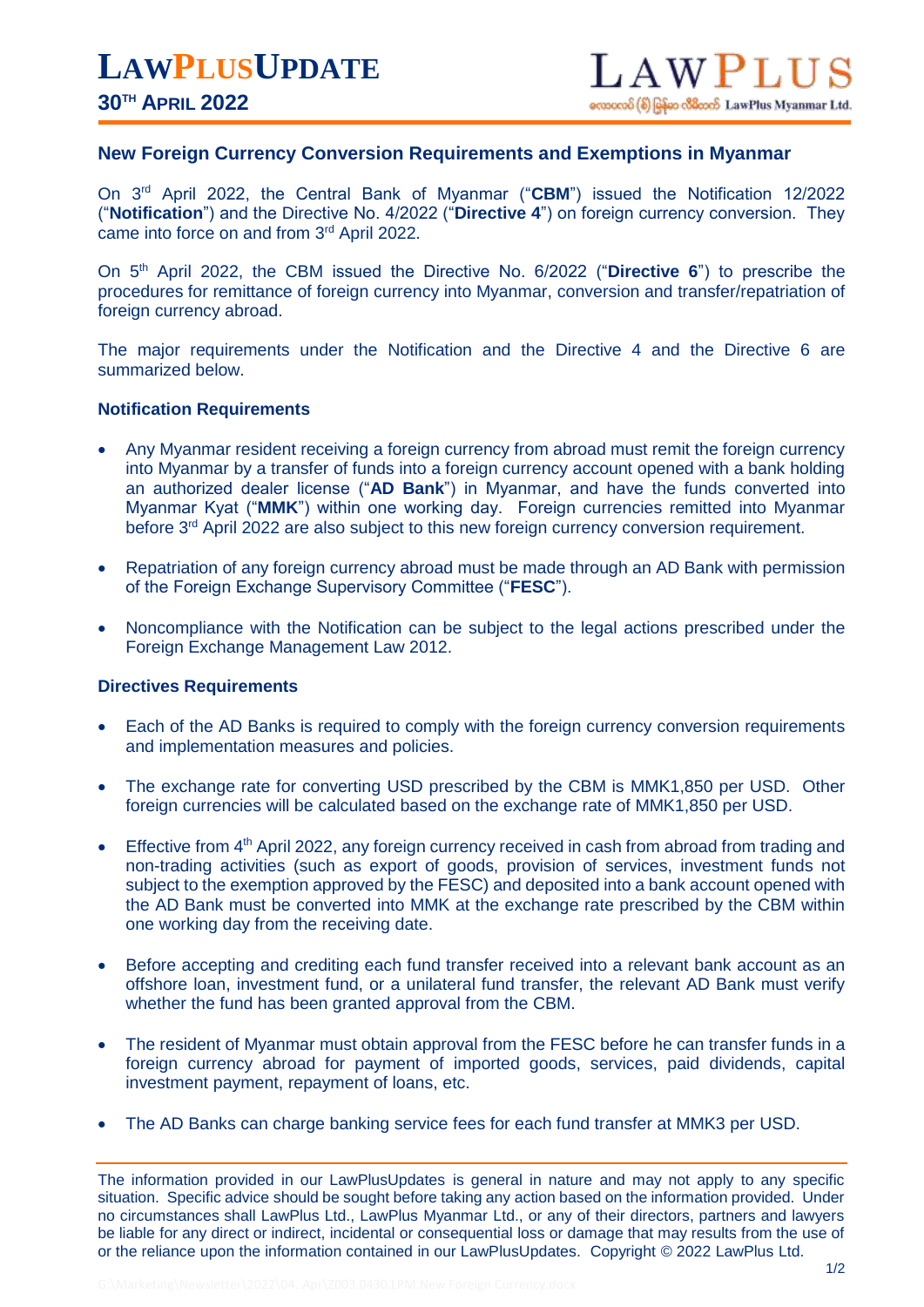## **New Foreign Currency Conversion Requirements and Exemptions in Myanmar**

On 3rd April 2022, the Central Bank of Myanmar ("**CBM**") issued the Notification 12/2022 ("**Notification**") and the Directive No. 4/2022 ("**Directive 4**") on foreign currency conversion. They came into force on and from 3rd April 2022.

On 5<sup>th</sup> April 2022, the CBM issued the Directive No. 6/2022 ("Directive 6") to prescribe the procedures for remittance of foreign currency into Myanmar, conversion and transfer/repatriation of foreign currency abroad.

The major requirements under the Notification and the Directive 4 and the Directive 6 are summarized below.

## **Notification Requirements**

- Any Myanmar resident receiving a foreign currency from abroad must remit the foreign currency into Myanmar by a transfer of funds into a foreign currency account opened with a bank holding an authorized dealer license ("**AD Bank**") in Myanmar, and have the funds converted into Myanmar Kyat ("**MMK**") within one working day. Foreign currencies remitted into Myanmar before 3<sup>rd</sup> April 2022 are also subject to this new foreign currency conversion requirement.
- Repatriation of any foreign currency abroad must be made through an AD Bank with permission of the Foreign Exchange Supervisory Committee ("**FESC**").
- Noncompliance with the Notification can be subject to the legal actions prescribed under the Foreign Exchange Management Law 2012.

## **Directives Requirements**

- Each of the AD Banks is required to comply with the foreign currency conversion requirements and implementation measures and policies.
- The exchange rate for converting USD prescribed by the CBM is MMK1,850 per USD. Other foreign currencies will be calculated based on the exchange rate of MMK1,850 per USD.
- Effective from 4<sup>th</sup> April 2022, any foreign currency received in cash from abroad from trading and non-trading activities (such as export of goods, provision of services, investment funds not subject to the exemption approved by the FESC) and deposited into a bank account opened with the AD Bank must be converted into MMK at the exchange rate prescribed by the CBM within one working day from the receiving date.
- Before accepting and crediting each fund transfer received into a relevant bank account as an offshore loan, investment fund, or a unilateral fund transfer, the relevant AD Bank must verify whether the fund has been granted approval from the CBM.
- The resident of Myanmar must obtain approval from the FESC before he can transfer funds in a foreign currency abroad for payment of imported goods, services, paid dividends, capital investment payment, repayment of loans, etc.
- The AD Banks can charge banking service fees for each fund transfer at MMK3 per USD.

The information provided in our LawPlusUpdates is general in nature and may not apply to any specific situation. Specific advice should be sought before taking any action based on the information provided. Under no circumstances shall LawPlus Ltd., LawPlus Myanmar Ltd., or any of their directors, partners and lawyers be liable for any direct or indirect, incidental or consequential loss or damage that may results from the use of or the reliance upon the information contained in our LawPlusUpdates. Copyright © 2022 LawPlus Ltd.